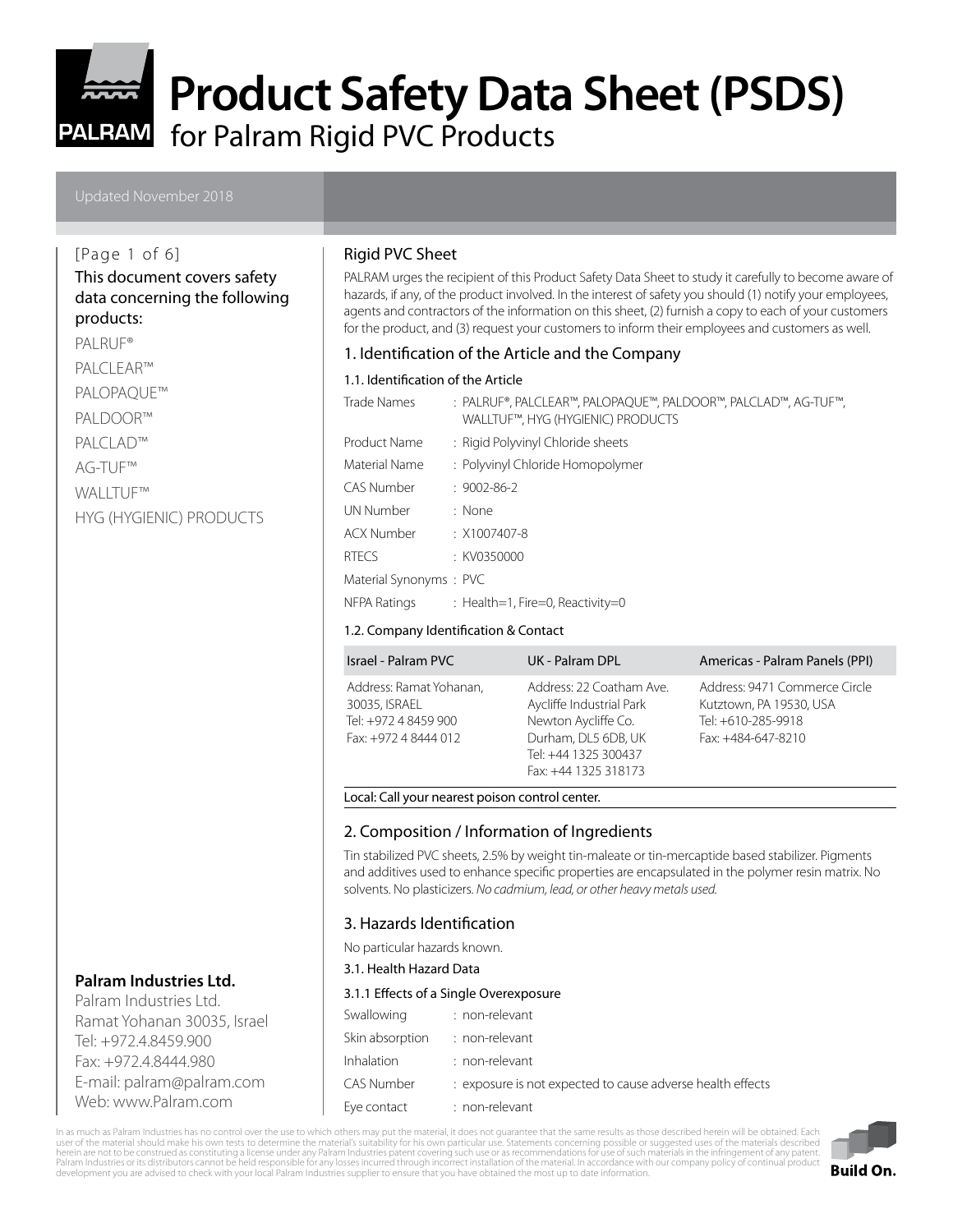for Palram Rigid PVC Products

#### [Page 1 of 6]

**PALRAM** 

### This document covers safety data concerning the following products:

- PALRUF®
- PALCLEAR™
- PALOPAQUE™
- PALDOOR™
- PALCLAD™
- AG-TUF™

WALLTUF™

HYG (HYGIENIC) PRODUCTS

## **Palram Industries Ltd.**

Palram Industries Ltd. Ramat Yohanan 30035, Israel Tel: +972.4.8459.900 Fax: +972.4.8444.980 E-mail: palram@palram.com Web: www.Palram.com

#### Rigid PVC Sheet

PALRAM urges the recipient of this Product Safety Data Sheet to study it carefully to become aware of hazards, if any, of the product involved. In the interest of safety you should (1) notify your employees, agents and contractors of the information on this sheet, (2) furnish a copy to each of your customers for the product, and (3) request your customers to inform their employees and customers as well.

#### 1. Identification of the Article and the Company

1.1. Identification of the Article

| <b>Trade Names</b>     | : PALRUF®, PALCLEAR™, PALOPAQUE™, PALDOOR™, PALCLAD™, AG-TUF™,<br>WALLTUF™, HYG (HYGIENIC) PRODUCTS |
|------------------------|-----------------------------------------------------------------------------------------------------|
| Product Name           | : Rigid Polyvinyl Chloride sheets                                                                   |
| Material Name          | : Polyvinyl Chloride Homopolymer                                                                    |
| CAS Number             | $: 9002 - 86 - 2$                                                                                   |
| UN Number              | : None                                                                                              |
| ACX Number             | $: X1007407 - 8$                                                                                    |
| <b>RTFCS</b>           | $:$ KV0350000                                                                                       |
| Material Synonyms: PVC |                                                                                                     |
| NFPA Ratings           | : Health=1, Fire=0, Reactivity=0                                                                    |

#### 1.2. Company Identification & Contact

| Israel - Palram PVC                                                                      | UK - Palram DPL                                                                                                                                    | Americas - Palram Panels (PPI)                                                                       |
|------------------------------------------------------------------------------------------|----------------------------------------------------------------------------------------------------------------------------------------------------|------------------------------------------------------------------------------------------------------|
| Address: Ramat Yohanan,<br>30035, ISRAEL<br>Tel: +972 4 8459 900<br>Fax: +972 4 8444 012 | Address: 22 Coatham Ave.<br>Aycliffe Industrial Park<br>Newton Aycliffe Co.<br>Durham, DL5 6DB, UK<br>Tel: +44 1325 300437<br>Fax: +44 1325 318173 | Address: 9471 Commerce Circle<br>Kutztown, PA 19530, USA<br>Tel: +610-285-9918<br>Fax: +484-647-8210 |

#### Local: Call your nearest poison control center.

### 2. Composition / Information of Ingredients

Tin stabilized PVC sheets, 2.5% by weight tin-maleate or tin-mercaptide based stabilizer. Pigments and additives used to enhance specific properties are encapsulated in the polymer resin matrix. No solvents. No plasticizers. *No cadmium, lead, or other heavy metals used.*

#### 3. Hazards Identification

No particular hazards known.

#### 3.1. Health Hazard Data

#### 3.1.1 Effects of a Single Overexposure

| Swallowing        | : non-relevant                                             |
|-------------------|------------------------------------------------------------|
| Skin absorption   | : non-relevant                                             |
| <b>Inhalation</b> | : non-relevant                                             |
| CAS Number        | : exposure is not expected to cause adverse health effects |
| Eye contact       | : non-relevant                                             |

In as much as Palram Industries has no control over the use to which others may put the material, it does not guarantee that the same results as those described herein will be obtained. Each user of the material should make his own tests to determine the material's suitability for his own particular use. Statements concerning possible or suggested uses of the materials described<br>herein are not to be construed development you are advised to check with your local Palram Industries supplier to ensure that you have obtained the most up to date information.

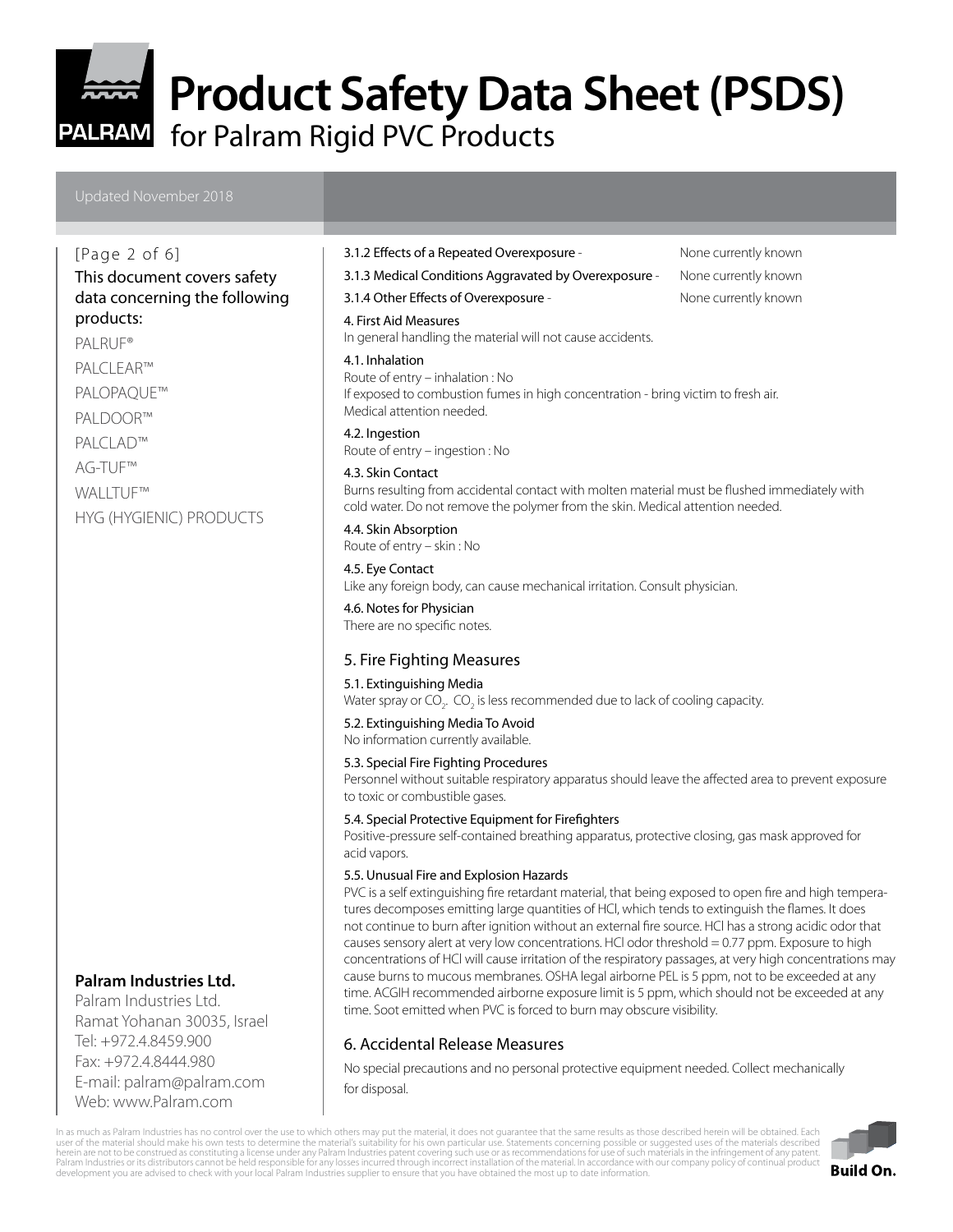for Palram Rigid PVC Products

## This document covers safety data concerning the following products: PALRUF®

PALCLEAR™ PALOPAQUE™ PALDOOR™ PALCLAD™ AG-TUF™ WALLTUF™ HYG (HYGIENIC) PRODUCTS

## **Palram Industries Ltd.**

Palram Industries Ltd. Ramat Yohanan 30035, Israel Tel: +972.4.8459.900 Fax: +972.4.8444.980 E-mail: palram@palram.com Web: www.Palram.com

#### [Page 2 of 6]  $\vert$  3.1.2 Effects of a Repeated Overexposure - None currently known

#### 3.1.3 Medical Conditions Aggravated by Overexposure - None currently known

#### 3.1.4 Other Effects of Overexposure - None currently known

#### 4. First Aid Measures

In general handling the material will not cause accidents.

#### 4.1. Inhalation

Route of entry – inhalation : No If exposed to combustion fumes in high concentration - bring victim to fresh air. Medical attention needed.

#### 4.2. Ingestion

Route of entry – ingestion : No

#### 4.3. Skin Contact

Burns resulting from accidental contact with molten material must be flushed immediately with cold water. Do not remove the polymer from the skin. Medical attention needed.

#### 4.4. Skin Absorption

Route of entry – skin : No

4.5. Eye Contact Like any foreign body, can cause mechanical irritation. Consult physician.

#### 4.6. Notes for Physician

There are no specific notes.

#### 5. Fire Fighting Measures

#### 5.1. Extinguishing Media

Water spray or  $CO<sub>2</sub>$ .  $CO<sub>2</sub>$  is less recommended due to lack of cooling capacity.

#### 5.2. Extinguishing Media To Avoid

No information currently available.

#### 5.3. Special Fire Fighting Procedures

Personnel without suitable respiratory apparatus should leave the affected area to prevent exposure to toxic or combustible gases.

#### 5.4. Special Protective Equipment for Firefighters

Positive-pressure self-contained breathing apparatus, protective closing, gas mask approved for acid vapors.

#### 5.5. Unusual Fire and Explosion Hazards

PVC is a self extinguishing fire retardant material, that being exposed to open fire and high temperatures decomposes emitting large quantities of HCl, which tends to extinguish the flames. It does not continue to burn after ignition without an external fire source. HCl has a strong acidic odor that causes sensory alert at very low concentrations. HCl odor threshold = 0.77 ppm. Exposure to high concentrations of HCl will cause irritation of the respiratory passages, at very high concentrations may cause burns to mucous membranes. OSHA legal airborne PEL is 5 ppm, not to be exceeded at any time. ACGIH recommended airborne exposure limit is 5 ppm, which should not be exceeded at any time. Soot emitted when PVC is forced to burn may obscure visibility.

### 6. Accidental Release Measures

No special precautions and no personal protective equipment needed. Collect mechanically for disposal.

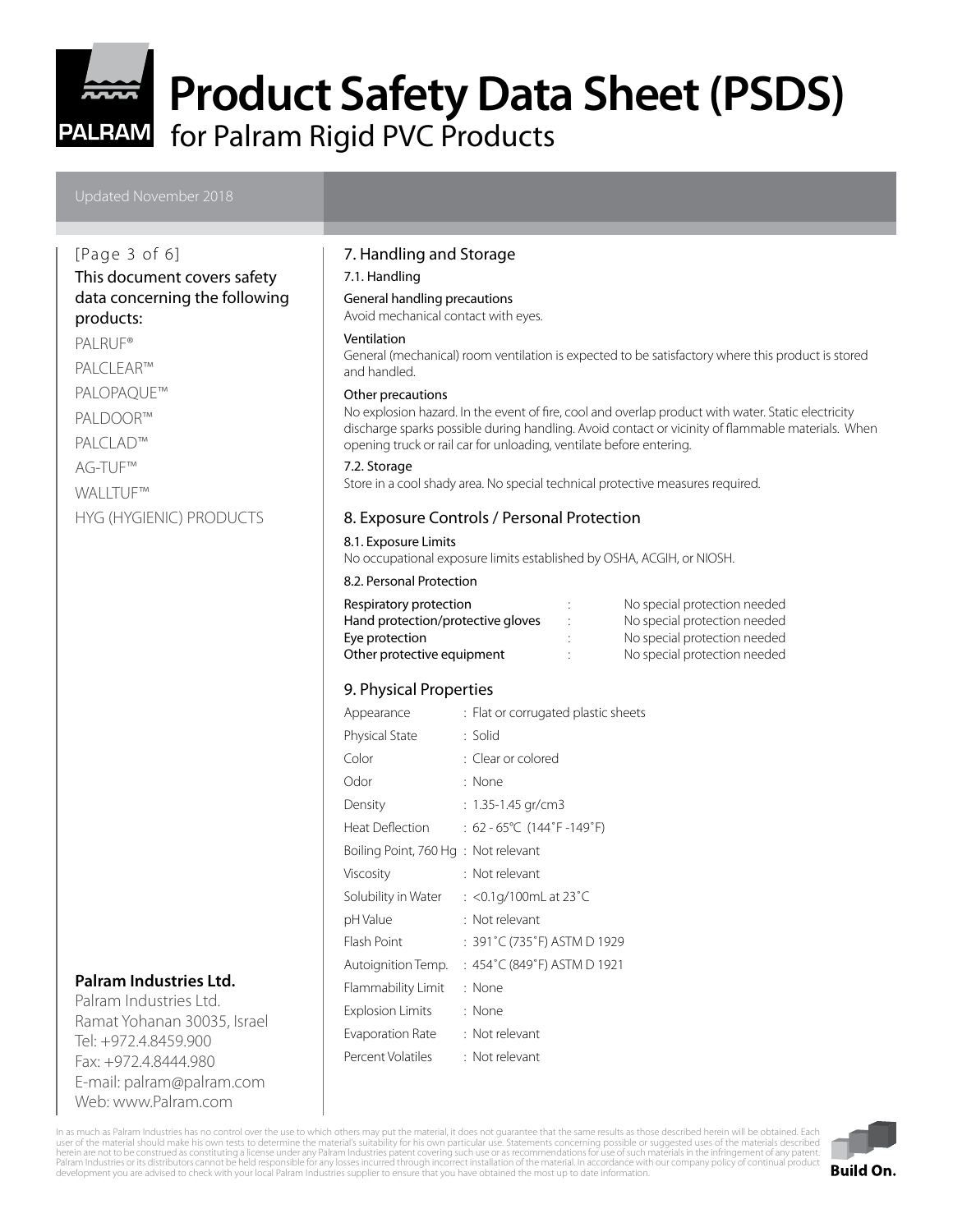for Palram Rigid PVC Products

#### This document covers safety data concerning the following products:

### PALRUF®

**PALRAM** 

PALCLEAR™ PALOPAQUE™ PALDOOR™ PALCLAD™ AG-TUF™

WALLTUF™ HYG (HYGIENIC) PRODUCTS

#### **Palram Industries Ltd.**

Palram Industries Ltd. Ramat Yohanan 30035, Israel Tel: +972.4.8459.900 Fax: +972.4.8444.980 E-mail: palram@palram.com Web: www.Palram.com

#### [Page 3 of 6] T. Handling and Storage

7.1. Handling

#### General handling precautions

Avoid mechanical contact with eyes.

#### Ventilation

General (mechanical) room ventilation is expected to be satisfactory where this product is stored and handled.

#### Other precautions

No explosion hazard. In the event of fire, cool and overlap product with water. Static electricity discharge sparks possible during handling. Avoid contact or vicinity of flammable materials. When opening truck or rail car for unloading, ventilate before entering.

#### 7.2. Storage

Store in a cool shady area. No special technical protective measures required.

#### 8. Exposure Controls / Personal Protection

#### 8.1. Exposure Limits

No occupational exposure limits established by OSHA, ACGIH, or NIOSH.

#### 8.2. Personal Protection

| Respiratory protection            | No special protection needed |
|-----------------------------------|------------------------------|
| Hand protection/protective gloves | No special protection needed |
| Eye protection                    | No special protection needed |
| Other protective equipment        | No special protection needed |

### 9. Physical Properties

| Appearance                           | : Flat or corrugated plastic sheets |
|--------------------------------------|-------------------------------------|
| Physical State                       | : Solid                             |
| Color                                | : Clear or colored                  |
| Odor                                 | : None                              |
| Density                              | $: 1.35 - 1.45$ gr/cm3              |
| Heat Deflection                      | : 62 - 65℃ (144°F -149°F)           |
| Boiling Point, 760 Hg : Not relevant |                                     |
| Viscosity                            | : Not relevant                      |
| Solubility in Water                  | : <0.1g/100mL at 23 $^{\circ}$ C    |
| pH Value                             | : Not relevant                      |
| Flash Point                          | : 391°C (735°F) ASTM D 1929         |
| Autoignition Temp.                   | : 454°C (849°F) ASTM D 1921         |
| Flammability Limit                   | : None                              |
| Explosion Limits                     | : None                              |
| Evaporation Rate                     | : Not relevant                      |
| Percent Volatiles                    | : Not relevant                      |

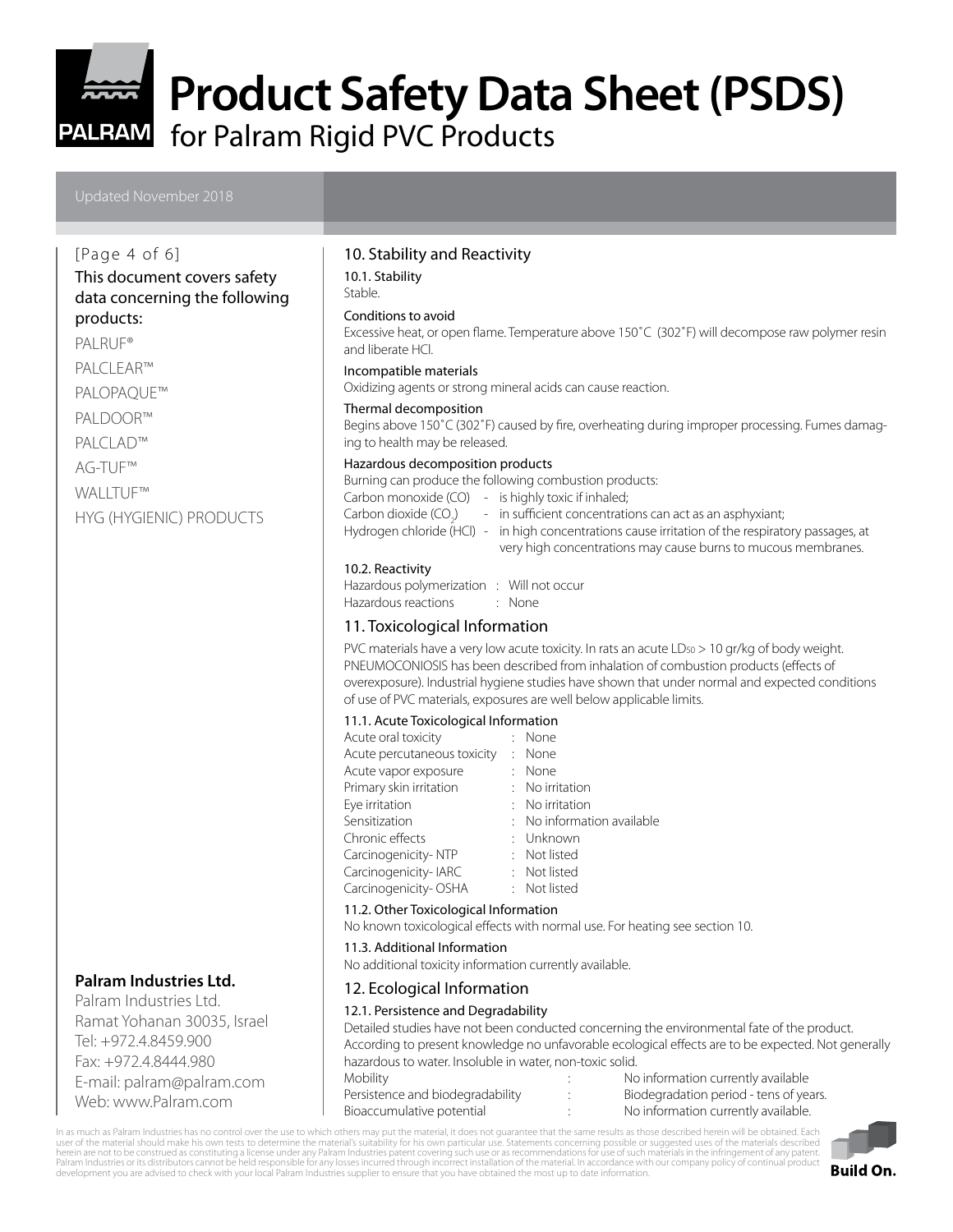for Palram Rigid PVC Products

#### [Page 4 of 6]

#### This document covers safety data concerning the following products:

PALRUF®

**PALRAM** 

- PALCLEAR™
- PALOPAQUE™
- PALDOOR™
- PALCLAD™
- AG-TUF™
- WALLTUF™ HYG (HYGIENIC) PRODUCTS

### **Palram Industries Ltd.**

Palram Industries Ltd. Ramat Yohanan 30035, Israel Tel: +972.4.8459.900 Fax: +972.4.8444.980 E-mail: palram@palram.com Web: www.Palram.com

#### 10. Stability and Reactivity

10.1. Stability

Stable.

#### Conditions to avoid

Excessive heat, or open flame. Temperature above 150˚C (302˚F) will decompose raw polymer resin and liberate HCl.

#### Incompatible materials

Oxidizing agents or strong mineral acids can cause reaction.

#### Thermal decomposition

Begins above 150˚C (302˚F) caused by fire, overheating during improper processing. Fumes damaging to health may be released.

#### Hazardous decomposition products

Burning can produce the following combustion products: Carbon monoxide (CO) - is highly toxic if inhaled; Carbon dioxide (CO<sub>2</sub>)  $-$  in sufficient concentrations can act as an asphyxiant; Hydrogen chloride (HCl) - in high concentrations cause irritation of the respiratory passages, at very high concentrations may cause burns to mucous membranes.

#### 10.2. Reactivity

Hazardous polymerization : Will not occur Hazardous reactions : None

### 11. Toxicological Information

PVC materials have a very low acute toxicity. In rats an acute LD<sub>50</sub> > 10 gr/kg of body weight. PNEUMOCONIOSIS has been described from inhalation of combustion products (effects of overexposure). Industrial hygiene studies have shown that under normal and expected conditions of use of PVC materials, exposures are well below applicable limits.

#### 11.1. Acute Toxicological Information

| Acute oral toxicity         |         | None                       |
|-----------------------------|---------|----------------------------|
| Acute percutaneous toxicity | $\cdot$ | None                       |
| Acute vapor exposure        |         | : None                     |
| Primary skin irritation     |         | : No irritation            |
| Eye irritation              |         | : No irritation            |
| Sensitization               |         | : No information available |
| Chronic effects             |         | : Unknown                  |
| Carcinogenicity-NTP         |         | : Not listed               |
| Carcinogenicity-IARC        |         | : Not listed               |
| Carcinogenicity-OSHA        |         | : Not listed               |
|                             |         |                            |

#### 11.2. Other Toxicological Information

No known toxicological effects with normal use. For heating see section 10.

#### 11.3. Additional Information

No additional toxicity information currently available.

#### 12. Ecological Information

#### 12.1. Persistence and Degradability

Detailed studies have not been conducted concerning the environmental fate of the product. According to present knowledge no unfavorable ecological effects are to be expected. Not generally hazardous to water. Insoluble in water, non-toxic solid.<br>Mobility

| Mobility                         | No information currently available     |
|----------------------------------|----------------------------------------|
| Persistence and biodegradability | Biodegradation period - tens of years. |
| Bioaccumulative potential        | No information currently available.    |

In as much as Palram Industries has no control over the use to which others may put the material, it does not guarantee that the same results as those described herein will be obtained. Each user of the material should make his own tests to determine the material's suitability for his own particular use. Statements concerning possible or suggested uses of the materials described<br>herein are not to be construed development you are advised to check with your local Palram Industries supplier to ensure that you have obtained the most up to date information.

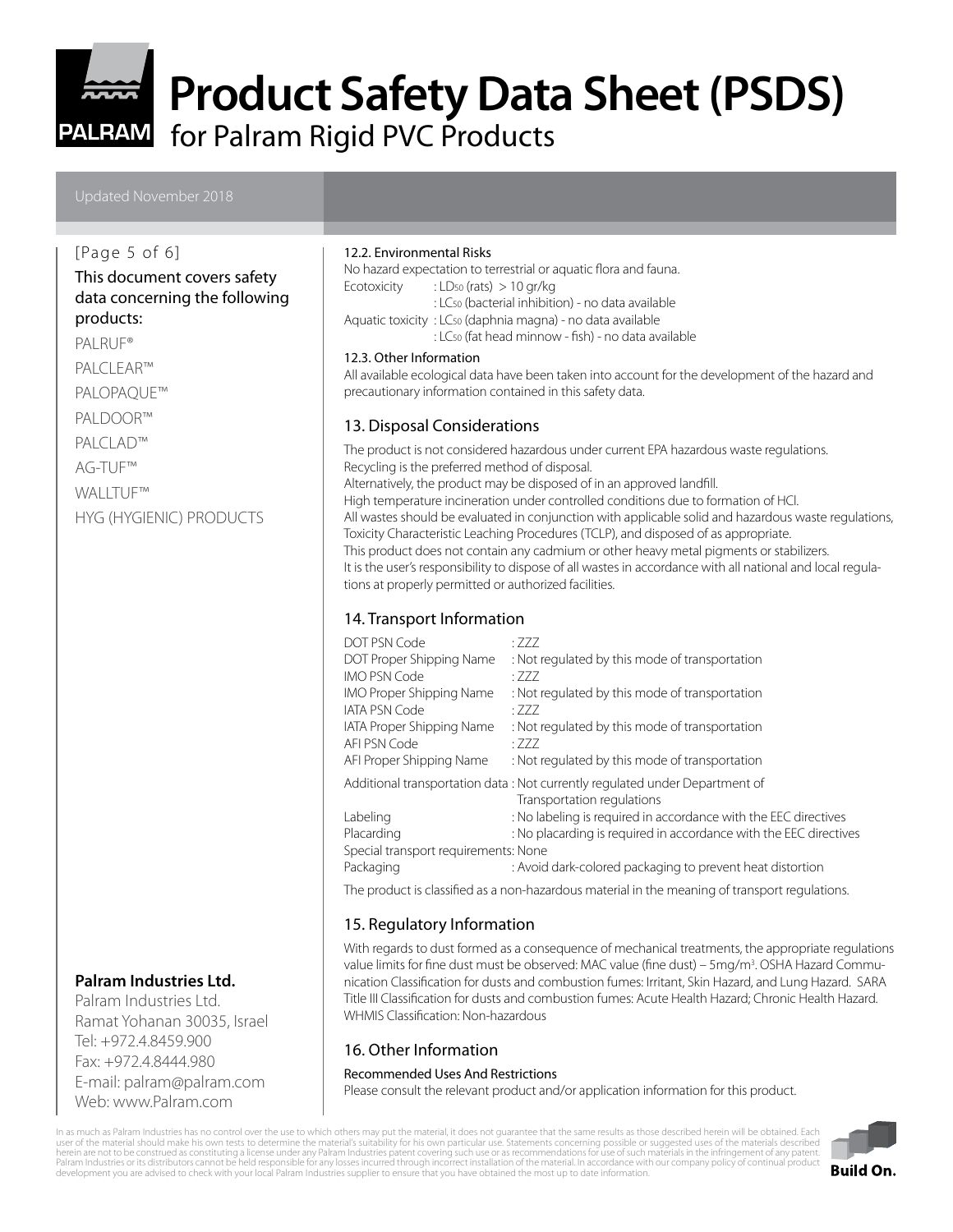for Palram Rigid PVC Products

#### [Page 5 of 6]

#### This document covers safety data concerning the following products:

#### PALRUF®

**PALRAM** 

PALCLEAR™

PALOPAQUE™

PALDOOR™

PALCLAD™

AG-TUF™

WALLTUF™

HYG (HYGIENIC) PRODUCTS

### **Palram Industries Ltd.**

Palram Industries Ltd. Ramat Yohanan 30035, Israel Tel: +972.4.8459.900 Fax: +972.4.8444.980 E-mail: palram@palram.com Web: www.Palram.com

#### 12.2. Environmental Risks

No hazard expectation to terrestrial or aquatic flora and fauna. Ecotoxicity : LD<sub>50</sub> (rats) > 10 gr/kg : LC50 (bacterial inhibition) - no data available Aquatic toxicity : LC50 (daphnia magna) - no data available : LC50 (fat head minnow - fish) - no data available

#### 12.3. Other Information

All available ecological data have been taken into account for the development of the hazard and precautionary information contained in this safety data.

#### 13. Disposal Considerations

The product is not considered hazardous under current EPA hazardous waste regulations. Recycling is the preferred method of disposal. Alternatively, the product may be disposed of in an approved landfill. High temperature incineration under controlled conditions due to formation of HCl. All wastes should be evaluated in conjunction with applicable solid and hazardous waste regulations, Toxicity Characteristic Leaching Procedures (TCLP), and disposed of as appropriate. This product does not contain any cadmium or other heavy metal pigments or stabilizers. It is the user's responsibility to dispose of all wastes in accordance with all national and local regulations at properly permitted or authorized facilities.

### 14. Transport Information

| DOT PSN Code                     | .777                                                                        |
|----------------------------------|-----------------------------------------------------------------------------|
| DOT Proper Shipping Name         | : Not regulated by this mode of transportation                              |
| <b>IMO PSN Code</b>              | . 777                                                                       |
| <b>IMO Proper Shipping Name</b>  | : Not regulated by this mode of transportation                              |
| <b>IATA PSN Code</b>             | : 777                                                                       |
| <b>IATA Proper Shipping Name</b> | : Not regulated by this mode of transportation                              |
| AFI PSN Code                     | : 777                                                                       |
| AFI Proper Shipping Name         | : Not regulated by this mode of transportation                              |
|                                  | Additional transportation data: Not currently regulated under Department of |
|                                  | Transportation regulations                                                  |
| Labolina                         | $\cdot$ No labeling is required in accordance with the EEC                  |

| Labeling                             | : No labeling is required in accordance with the EEC directives |  |
|--------------------------------------|-----------------------------------------------------------------|--|
| Placarding                           | No placarding is required in accordance with the EEC directives |  |
| Special transport requirements: None |                                                                 |  |
| $D_2$                                | . Avoid dark colored packaging to provent boat dictortion       |  |

Packaging **interpretent in Avoid dark-colored packaging to prevent heat distortion** 

The product is classified as a non-hazardous material in the meaning of transport regulations.

### 15. Regulatory Information

With regards to dust formed as a consequence of mechanical treatments, the appropriate regulations value limits for fine dust must be observed: MAC value (fine dust) – 5mg/m<sup>3</sup>. OSHA Hazard Communication Classification for dusts and combustion fumes: Irritant, Skin Hazard, and Lung Hazard. SARA Title III Classification for dusts and combustion fumes: Acute Health Hazard; Chronic Health Hazard. WHMIS Classification: Non-hazardous

### 16. Other Information

Recommended Uses And Restrictions

Please consult the relevant product and/or application information for this product.